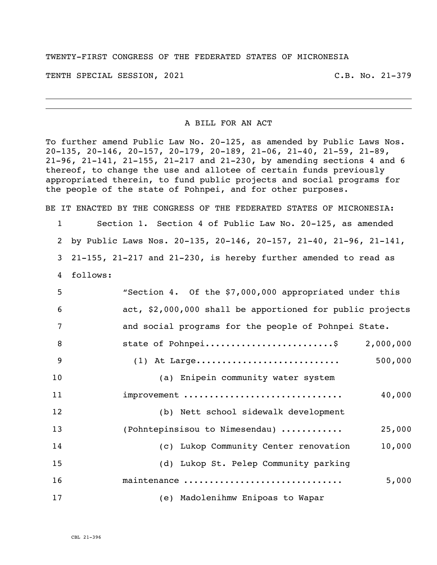TWENTY-FIRST CONGRESS OF THE FEDERATED STATES OF MICRONESIA

TENTH SPECIAL SESSION, 2021 C.B. No. 21-379

## A BILL FOR AN ACT

To further amend Public Law No. 20-125, as amended by Public Laws Nos. 20-135, 20-146, 20-157, 20-179, 20-189, 21-06, 21-40, 21-59, 21-89, 21-96, 21-141, 21-155, 21-217 and 21-230, by amending sections 4 and 6 thereof, to change the use and allotee of certain funds previously appropriated therein, to fund public projects and social programs for the people of the state of Pohnpei, and for other purposes.

BE IT ENACTED BY THE CONGRESS OF THE FEDERATED STATES OF MICRONESIA: 1 Section 1. Section 4 of Public Law No. 20-125, as amended

2 by Public Laws Nos. 20-135, 20-146, 20-157, 21-40, 21-96, 21-141, 3 21-155, 21-217 and 21-230, is hereby further amended to read as

4 follows:

| 5  | "Section 4. Of the \$7,000,000 appropriated under this    |
|----|-----------------------------------------------------------|
| 6  | act, \$2,000,000 shall be apportioned for public projects |
| 7  | and social programs for the people of Pohnpei State.      |
| 8  | state of Pohnpei\$<br>2,000,000                           |
| 9  | $(1)$ At Large<br>500,000                                 |
| 10 | (a) Enipein community water system                        |
| 11 | improvement<br>40,000                                     |
| 12 | (b) Nett school sidewalk development                      |
| 13 | (Pohntepinsisou to Nimesendau)<br>25,000                  |
| 14 | (c) Lukop Community Center renovation<br>10,000           |
| 15 | (d) Lukop St. Pelep Community parking                     |
| 16 | maintenance<br>5,000                                      |
| 17 | (e) Madolenihmw Enipoas to Wapar                          |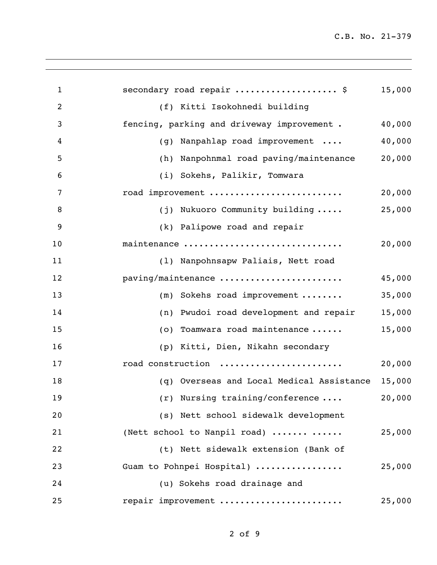| $\mathbf{1}$   | secondary road repair  \$                  | 15,000 |
|----------------|--------------------------------------------|--------|
| $\overline{2}$ | (f) Kitti Isokohnedi building              |        |
| 3              | fencing, parking and driveway improvement. | 40,000 |
| 4              | Nanpahlap road improvement<br>(g)          | 40,000 |
| 5              | (h) Nanpohnmal road paving/maintenance     | 20,000 |
| 6              | (i) Sokehs, Palikir, Tomwara               |        |
| 7              | road improvement                           | 20,000 |
| 8              | (j) Nukuoro Community building             | 25,000 |
| 9              | (k) Palipowe road and repair               |        |
| 10             | maintenance                                | 20,000 |
| 11             | (1) Nanpohnsapw Paliais, Nett road         |        |
| 12             | paving/maintenance                         | 45,000 |
| 13             | $(m)$ Sokehs road improvement              | 35,000 |
| 14             | Pwudoi road development and repair<br>(n)  | 15,000 |
| 15             | Toamwara road maintenance<br>(0)           | 15,000 |
| 16             | Kitti, Dien, Nikahn secondary<br>(p)       |        |
| 17             | road construction                          | 20,000 |
| 18             | (q) Overseas and Local Medical Assistance  | 15,000 |
| 19             | $(r)$ Nursing training/conference          | 20,000 |
| 20             | (s) Nett school sidewalk development       |        |
| 21             | (Nett school to Nanpil road)               | 25,000 |
| 22             | (t) Nett sidewalk extension (Bank of       |        |
| 23             | Guam to Pohnpei Hospital)                  | 25,000 |
| 24             | (u) Sokehs road drainage and               |        |
| 25             | repair improvement                         | 25,000 |
|                |                                            |        |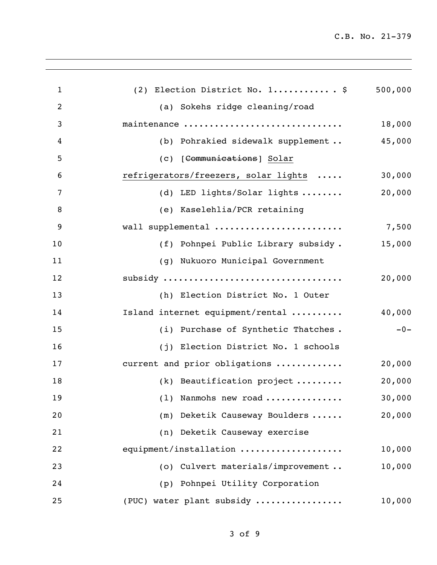| $\mathbf{1}$   | (2) Election District No. 1 \$       | 500,000 |
|----------------|--------------------------------------|---------|
| $\overline{2}$ | (a) Sokehs ridge cleaning/road       |         |
| 3              | maintenance                          | 18,000  |
| $\overline{4}$ | (b) Pohrakied sidewalk supplement    | 45,000  |
| 5              | (c) [Communications] Solar           |         |
| 6              | refrigerators/freezers, solar lights | 30,000  |
| 7              | (d) LED lights/Solar lights          | 20,000  |
| 8              | (e) Kaselehlia/PCR retaining         |         |
| 9              | wall supplemental                    | 7,500   |
| 10             | (f) Pohnpei Public Library subsidy.  | 15,000  |
| 11             | (g) Nukuoro Municipal Government     |         |
| 12             | subsidy                              | 20,000  |
| 13             | (h) Election District No. 1 Outer    |         |
| 14             | Island internet equipment/rental     | 40,000  |
| 15             | (i) Purchase of Synthetic Thatches.  | $-0-$   |
| 16             | (j) Election District No. 1 schools  |         |
| 17             | current and prior obligations        | 20,000  |
| 18             | (k) Beautification project           | 20,000  |
| 19             | (1) Nanmohs new road                 | 30,000  |
| 20             | (m) Deketik Causeway Boulders        | 20,000  |
| 21             | (n) Deketik Causeway exercise        |         |
| 22             | equipment/installation               | 10,000  |
| 23             | (o) Culvert materials/improvement    | 10,000  |
| 24             | (p) Pohnpei Utility Corporation      |         |
| 25             | (PUC) water plant subsidy            | 10,000  |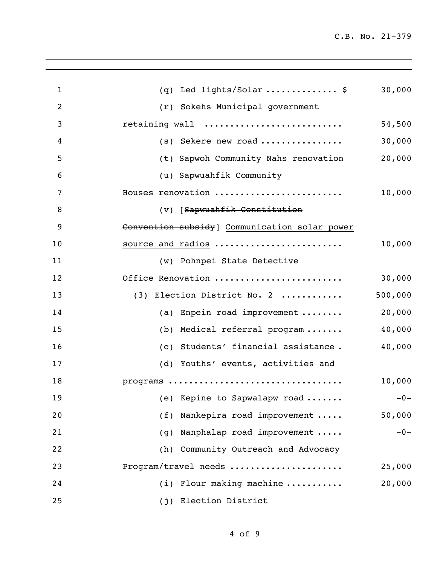| $\mathbf{1}$   | (q) Led lights/Solar  \$                      | 30,000  |
|----------------|-----------------------------------------------|---------|
| $\overline{2}$ | (r) Sokehs Municipal government               |         |
| 3              | retaining wall                                | 54,500  |
| 4              | (s) Sekere new road                           | 30,000  |
| 5              | (t) Sapwoh Community Nahs renovation          | 20,000  |
| 6              | (u) Sapwuahfik Community                      |         |
| 7              | Houses renovation                             | 10,000  |
| 8              | (V) [Sapwuahfik Constitution                  |         |
| 9              | Convention subsidy] Communication solar power |         |
| 10             | source and radios                             | 10,000  |
| 11             | (w) Pohnpei State Detective                   |         |
| 12             | Office Renovation                             | 30,000  |
| 13             | (3) Election District No. 2                   | 500,000 |
| 14             | (a) Enpein road improvement $\ldots \ldots$   | 20,000  |
| 15             | (b) Medical referral program                  | 40,000  |
| 16             | (c) Students' financial assistance.           | 40,000  |
| 17             | (d) Youths' events, activities and            |         |
| 18             | programs                                      | 10,000  |
| 19             | (e) Kepine to Sapwalapw road                  | $-0-$   |
| 20             | (f) Nankepira road improvement                | 50,000  |
| 21             | (g) Nanphalap road improvement                | $-0-$   |
| 22             | (h) Community Outreach and Advocacy           |         |
| 23             | Program/travel needs                          | 25,000  |
| 24             | $(i)$ Flour making machine                    | 20,000  |
| 25             | (j) Election District                         |         |
|                |                                               |         |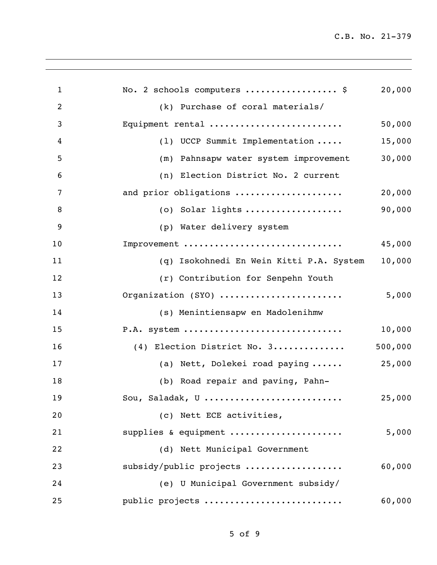| $\mathbf{1}$   | No. 2 schools computers  \$              | 20,000  |
|----------------|------------------------------------------|---------|
| $\overline{2}$ | (k) Purchase of coral materials/         |         |
| 3              | Equipment rental                         | 50,000  |
| 4              | (1) UCCP Summit Implementation           | 15,000  |
| 5              | (m) Pahnsapw water system improvement    | 30,000  |
| 6              | (n) Election District No. 2 current      |         |
| 7              | and prior obligations                    | 20,000  |
| 8              | (o) Solar lights                         | 90,000  |
| 9              | (p) Water delivery system                |         |
| 10             | Improvement                              | 45,000  |
| 11             | (q) Isokohnedi En Wein Kitti P.A. System | 10,000  |
| 12             | (r) Contribution for Senpehn Youth       |         |
| 13             | Organization (SYO)                       | 5,000   |
| 14             | (s) Menintiensapw en Madolenihmw         |         |
| 15             | P.A. system                              | 10,000  |
| 16             | (4) Election District No. 3              | 500,000 |
| 17             | (a) Nett, Dolekei road paying            | 25,000  |
| 18             | (b) Road repair and paving, Pahn-        |         |
| 19             | Sou, Saladak, U                          | 25,000  |
| 20             | (c) Nett ECE activities,                 |         |
| 21             | supplies & equipment                     | 5,000   |
| 22             | (d) Nett Municipal Government            |         |
| 23             | subsidy/public projects                  | 60,000  |
| 24             | (e) U Municipal Government subsidy/      |         |
| 25             | public projects                          | 60,000  |
|                |                                          |         |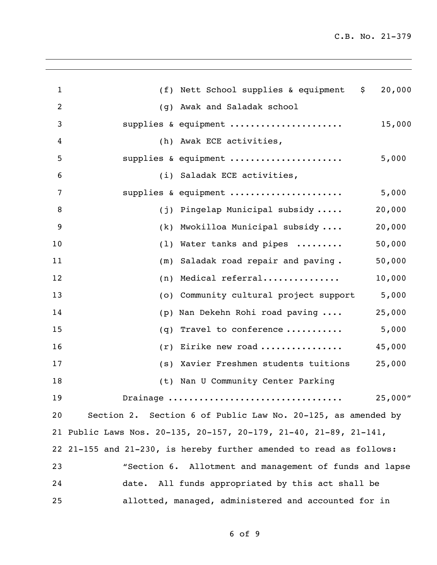| 1  |     | (f) Nett School supplies & equipment<br>\$                          | 20,000  |
|----|-----|---------------------------------------------------------------------|---------|
| 2  |     | (g) Awak and Saladak school                                         |         |
| 3  |     | supplies & equipment                                                | 15,000  |
| 4  |     | (h) Awak ECE activities,                                            |         |
| 5  |     | supplies & equipment                                                | 5,000   |
| 6  |     | (i) Saladak ECE activities,                                         |         |
| 7  |     | supplies & equipment                                                | 5,000   |
| 8  |     | (j) Pingelap Municipal subsidy                                      | 20,000  |
| 9  |     | (k) Mwokilloa Municipal subsidy                                     | 20,000  |
| 10 |     | (1) Water tanks and pipes                                           | 50,000  |
| 11 |     | (m) Saladak road repair and paving.                                 | 50,000  |
| 12 |     | $(n)$ Medical referral                                              | 10,000  |
| 13 |     | (o) Community cultural project support                              | 5,000   |
| 14 |     | (p) Nan Dekehn Rohi road paving                                     | 25,000  |
| 15 | (q) | Travel to conference                                                | 5,000   |
| 16 |     | $(r)$ Eirike new road                                               | 45,000  |
| 17 |     | (s) Xavier Freshmen students tuitions                               | 25,000  |
| 18 |     | (t) Nan U Community Center Parking                                  |         |
| 19 |     | Drainage                                                            | 25,000" |
| 20 |     | Section 2. Section 6 of Public Law No. 20-125, as amended by        |         |
|    |     | 21 Public Laws Nos. 20-135, 20-157, 20-179, 21-40, 21-89, 21-141,   |         |
|    |     | 22 21-155 and 21-230, is hereby further amended to read as follows: |         |
| 23 |     | "Section 6. Allotment and management of funds and lapse             |         |
| 24 |     | date. All funds appropriated by this act shall be                   |         |
| 25 |     | allotted, managed, administered and accounted for in                |         |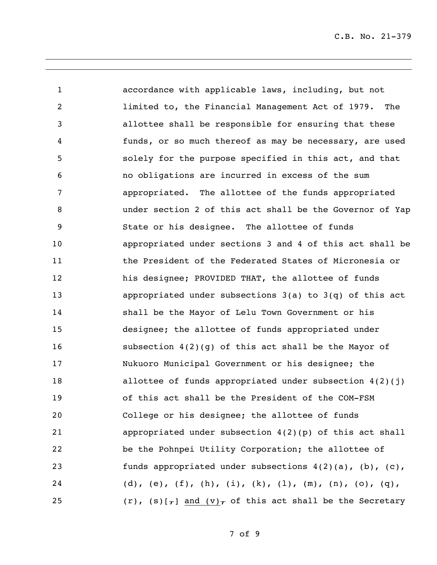accordance with applicable laws, including, but not limited to, the Financial Management Act of 1979. The allottee shall be responsible for ensuring that these funds, or so much thereof as may be necessary, are used solely for the purpose specified in this act, and that no obligations are incurred in excess of the sum appropriated. The allottee of the funds appropriated under section 2 of this act shall be the Governor of Yap State or his designee. The allottee of funds appropriated under sections 3 and 4 of this act shall be the President of the Federated States of Micronesia or his designee; PROVIDED THAT, the allottee of funds appropriated under subsections 3(a) to 3(q) of this act shall be the Mayor of Lelu Town Government or his designee; the allottee of funds appropriated under subsection 4(2)(g) of this act shall be the Mayor of Nukuoro Municipal Government or his designee; the 18 allottee of funds appropriated under subsection  $4(2)(j)$  of this act shall be the President of the COM-FSM College or his designee; the allottee of funds appropriated under subsection 4(2)(p) of this act shall be the Pohnpei Utility Corporation; the allottee of funds appropriated under subsections 4(2)(a), (b), (c), 24 (d), (e), (f), (h), (i), (k), (l), (m), (n), (o), (q), 25 (r), (s)[ $_{7}$ ] and (v) $_{7}$  of this act shall be the Secretary

of 9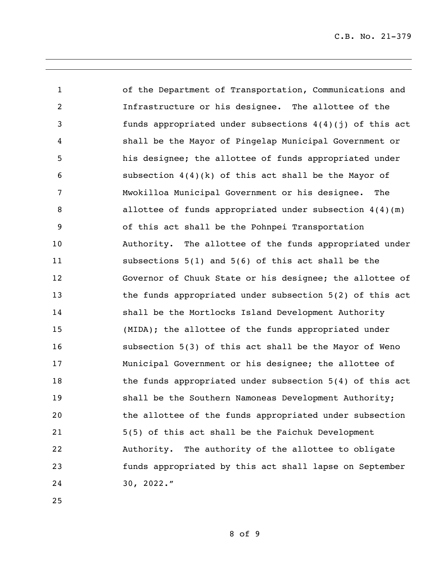of the Department of Transportation, Communications and Infrastructure or his designee. The allottee of the funds appropriated under subsections 4(4)(j) of this act shall be the Mayor of Pingelap Municipal Government or his designee; the allottee of funds appropriated under subsection 4(4)(k) of this act shall be the Mayor of Mwokilloa Municipal Government or his designee. The allottee of funds appropriated under subsection 4(4)(m) of this act shall be the Pohnpei Transportation Authority. The allottee of the funds appropriated under subsections 5(1) and 5(6) of this act shall be the Governor of Chuuk State or his designee; the allottee of 13 the funds appropriated under subsection 5(2) of this act shall be the Mortlocks Island Development Authority (MIDA); the allottee of the funds appropriated under subsection 5(3) of this act shall be the Mayor of Weno Municipal Government or his designee; the allottee of 18 the funds appropriated under subsection 5(4) of this act shall be the Southern Namoneas Development Authority; the allottee of the funds appropriated under subsection 5(5) of this act shall be the Faichuk Development Authority. The authority of the allottee to obligate funds appropriated by this act shall lapse on September 30, 2022."